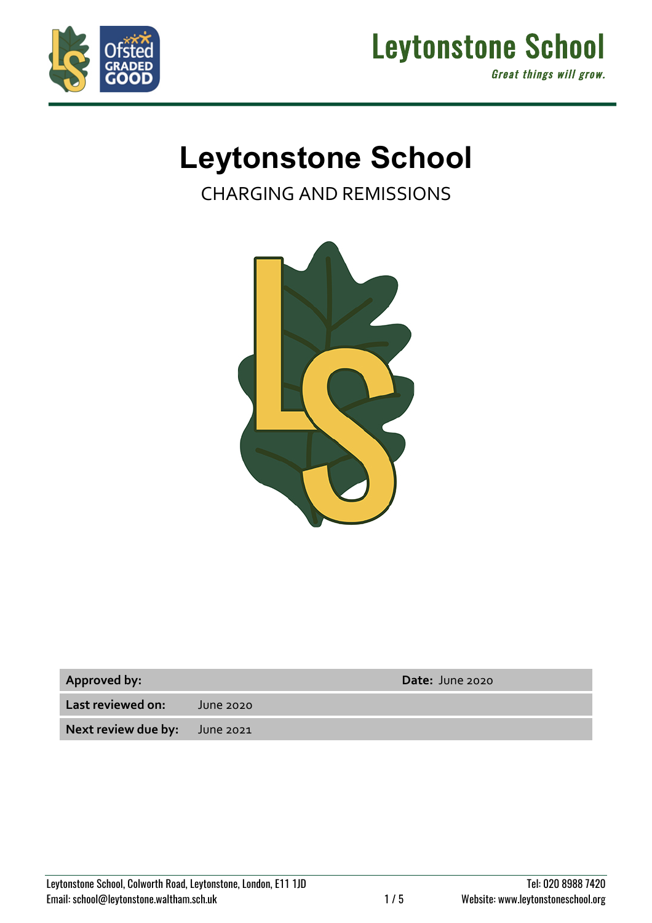



# **Leytonstone School**

CHARGING AND REMISSIONS



| <b>Approved by:</b> |  |
|---------------------|--|
|---------------------|--|

**Approved by: Date:** June 2020

**Last reviewed on:** June 2020

**Next review due by:** June 2021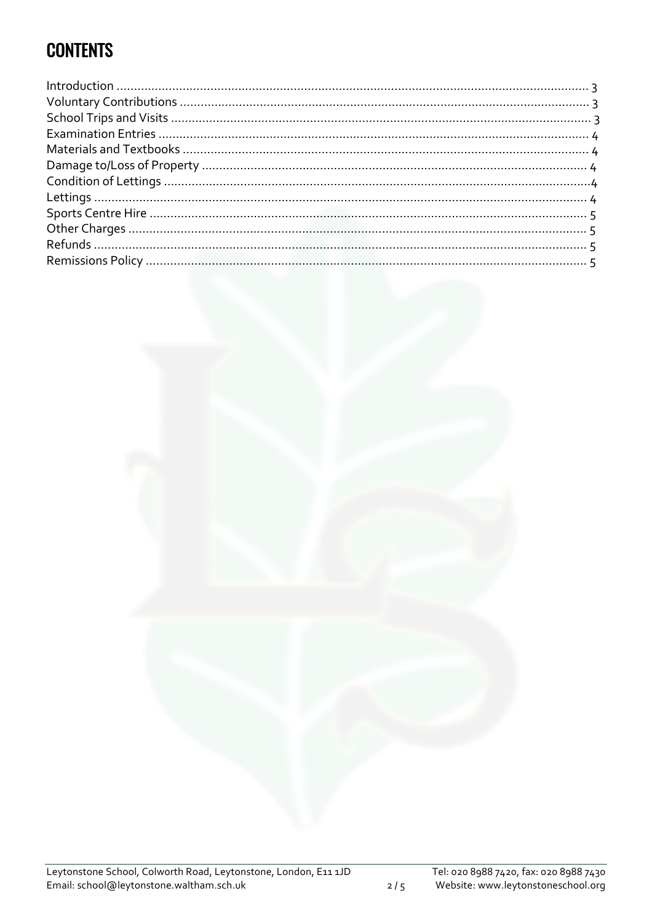## **CONTENTS**

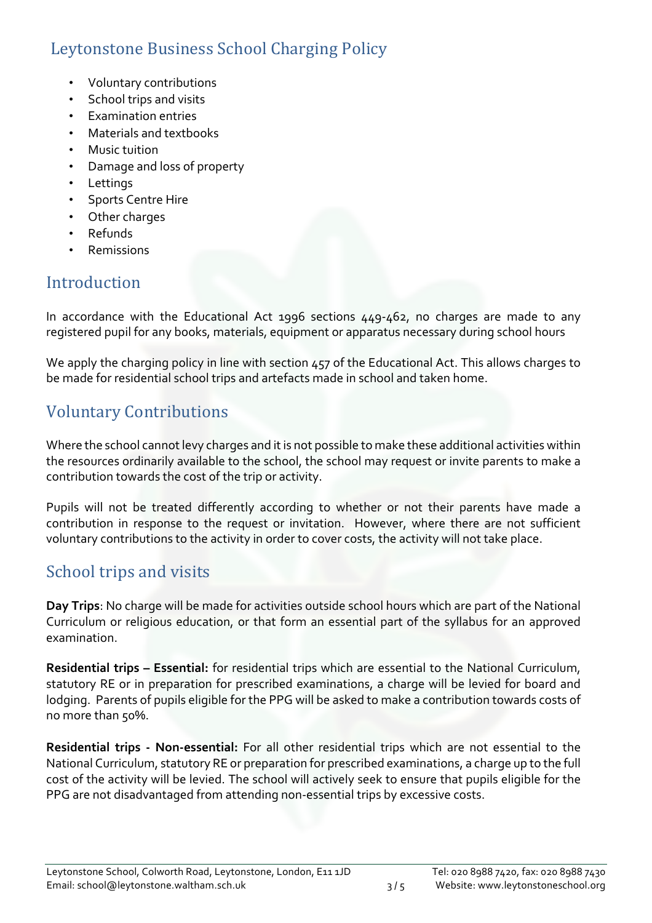### Leytonstone Business School Charging Policy

- Voluntary contributions
- School trips and visits
- Examination entries
- Materials and textbooks
- Music tuition
- Damage and loss of property
- Lettings
- Sports Centre Hire
- Other charges
- Refunds
- **Remissions**

### Introduction

In accordance with the Educational Act 1996 sections 449-462, no charges are made to any registered pupil for any books, materials, equipment or apparatus necessary during school hours

We apply the charging policy in line with section 457 of the Educational Act. This allows charges to be made for residential school trips and artefacts made in school and taken home.

### Voluntary Contributions

Where the school cannot levy charges and it is not possible to make these additional activities within the resources ordinarily available to the school, the school may request or invite parents to make a contribution towards the cost of the trip or activity.

Pupils will not be treated differently according to whether or not their parents have made a contribution in response to the request or invitation. However, where there are not sufficient voluntary contributions to the activity in order to cover costs, the activity will not take place.

### School trips and visits

**Day Trips**: No charge will be made for activities outside school hours which are part of the National Curriculum or religious education, or that form an essential part of the syllabus for an approved examination.

**Residential trips – Essential:** for residential trips which are essential to the National Curriculum, statutory RE or in preparation for prescribed examinations, a charge will be levied for board and lodging. Parents of pupils eligible for the PPG will be asked to make a contribution towards costs of no more than 50%.

**Residential trips - Non-essential:** For all other residential trips which are not essential to the National Curriculum, statutory RE or preparation for prescribed examinations, a charge up to the full cost of the activity will be levied. The school will actively seek to ensure that pupils eligible for the PPG are not disadvantaged from attending non-essential trips by excessive costs.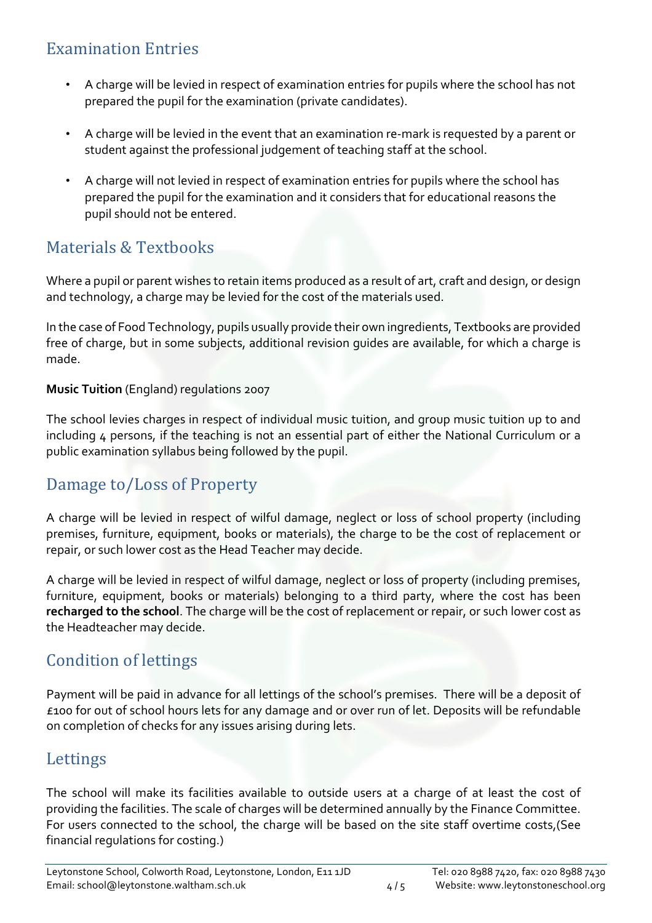### Examination Entries

- A charge will be levied in respect of examination entries for pupils where the school has not prepared the pupil for the examination (private candidates).
- A charge will be levied in the event that an examination re-mark is requested by a parent or student against the professional judgement of teaching staff at the school.
- A charge will not levied in respect of examination entries for pupils where the school has prepared the pupil for the examination and it considers that for educational reasons the pupil should not be entered.

### Materials & Textbooks

Where a pupil or parent wishes to retain items produced as a result of art, craft and design, or design and technology, a charge may be levied for the cost of the materials used.

In the case of Food Technology, pupils usually provide their own ingredients, Textbooks are provided free of charge, but in some subjects, additional revision guides are available, for which a charge is made.

#### **Music Tuition** (England) regulations 2007

The school levies charges in respect of individual music tuition, and group music tuition up to and including 4 persons, if the teaching is not an essential part of either the National Curriculum or a public examination syllabus being followed by the pupil.

### Damage to/Loss of Property

A charge will be levied in respect of wilful damage, neglect or loss of school property (including premises, furniture, equipment, books or materials), the charge to be the cost of replacement or repair, or such lower cost as the Head Teacher may decide.

A charge will be levied in respect of wilful damage, neglect or loss of property (including premises, furniture, equipment, books or materials) belonging to a third party, where the cost has been **recharged to the school**. The charge will be the cost of replacement or repair, or such lower cost as the Headteacher may decide.

### Condition of lettings

Payment will be paid in advance for all lettings of the school's premises. There will be a deposit of £100 for out of school hours lets for any damage and or over run of let. Deposits will be refundable on completion of checks for any issues arising during lets.

#### Lettings

The school will make its facilities available to outside users at a charge of at least the cost of providing the facilities. The scale of charges will be determined annually by the Finance Committee. For users connected to the school, the charge will be based on the site staff overtime costs,(See financial regulations for costing.)